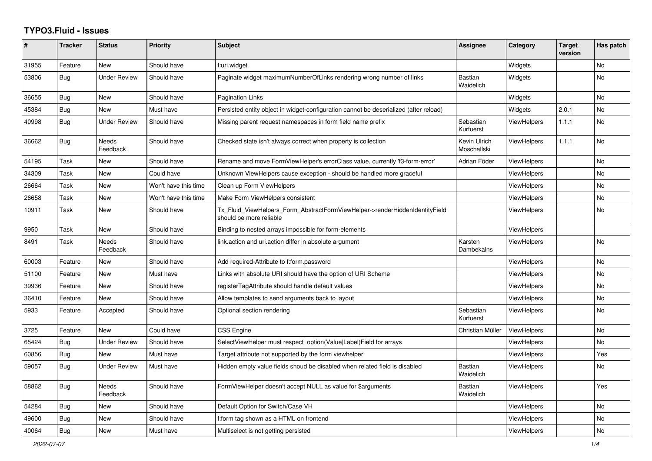## **TYPO3.Fluid - Issues**

| #     | <b>Tracker</b> | <b>Status</b>            | <b>Priority</b>      | <b>Subject</b>                                                                                         | Assignee                    | Category           | <b>Target</b><br>version | Has patch      |
|-------|----------------|--------------------------|----------------------|--------------------------------------------------------------------------------------------------------|-----------------------------|--------------------|--------------------------|----------------|
| 31955 | Feature        | <b>New</b>               | Should have          | f:uri.widget                                                                                           |                             | Widgets            |                          | <b>No</b>      |
| 53806 | Bug            | <b>Under Review</b>      | Should have          | Paginate widget maximumNumberOfLinks rendering wrong number of links                                   | <b>Bastian</b><br>Waidelich | Widgets            |                          | <b>No</b>      |
| 36655 | Bug            | <b>New</b>               | Should have          | Pagination Links                                                                                       |                             | Widgets            |                          | <b>No</b>      |
| 45384 | Bug            | New                      | Must have            | Persisted entity object in widget-configuration cannot be deserialized (after reload)                  |                             | Widgets            | 2.0.1                    | <b>No</b>      |
| 40998 | Bug            | <b>Under Review</b>      | Should have          | Missing parent request namespaces in form field name prefix                                            | Sebastian<br>Kurfuerst      | <b>ViewHelpers</b> | 1.1.1                    | <b>No</b>      |
| 36662 | <b>Bug</b>     | <b>Needs</b><br>Feedback | Should have          | Checked state isn't always correct when property is collection                                         | Kevin Ulrich<br>Moschallski | <b>ViewHelpers</b> | 1.1.1                    | <b>No</b>      |
| 54195 | Task           | New                      | Should have          | Rename and move FormViewHelper's errorClass value, currently 'f3-form-error'                           | Adrian Föder                | ViewHelpers        |                          | <b>No</b>      |
| 34309 | Task           | New                      | Could have           | Unknown ViewHelpers cause exception - should be handled more graceful                                  |                             | ViewHelpers        |                          | No             |
| 26664 | Task           | New                      | Won't have this time | Clean up Form ViewHelpers                                                                              |                             | ViewHelpers        |                          | <b>No</b>      |
| 26658 | Task           | <b>New</b>               | Won't have this time | Make Form ViewHelpers consistent                                                                       |                             | <b>ViewHelpers</b> |                          | No             |
| 10911 | Task           | New                      | Should have          | Tx_Fluid_ViewHelpers_Form_AbstractFormViewHelper->renderHiddenIdentityField<br>should be more reliable |                             | ViewHelpers        |                          | N <sub>o</sub> |
| 9950  | Task           | New                      | Should have          | Binding to nested arrays impossible for form-elements                                                  |                             | <b>ViewHelpers</b> |                          |                |
| 8491  | Task           | Needs<br>Feedback        | Should have          | link.action and uri.action differ in absolute argument                                                 | Karsten<br>Dambekalns       | ViewHelpers        |                          | No.            |
| 60003 | Feature        | New                      | Should have          | Add required-Attribute to f:form.password                                                              |                             | ViewHelpers        |                          | <b>No</b>      |
| 51100 | Feature        | New                      | Must have            | Links with absolute URI should have the option of URI Scheme                                           |                             | <b>ViewHelpers</b> |                          | No             |
| 39936 | Feature        | New                      | Should have          | registerTagAttribute should handle default values                                                      |                             | <b>ViewHelpers</b> |                          | No             |
| 36410 | Feature        | <b>New</b>               | Should have          | Allow templates to send arguments back to layout                                                       |                             | ViewHelpers        |                          | No             |
| 5933  | Feature        | Accepted                 | Should have          | Optional section rendering                                                                             | Sebastian<br>Kurfuerst      | ViewHelpers        |                          | <b>No</b>      |
| 3725  | Feature        | <b>New</b>               | Could have           | <b>CSS Engine</b>                                                                                      | Christian Müller            | <b>ViewHelpers</b> |                          | <b>No</b>      |
| 65424 | Bug            | <b>Under Review</b>      | Should have          | SelectViewHelper must respect option(Value Label)Field for arrays                                      |                             | <b>ViewHelpers</b> |                          | No.            |
| 60856 | Bug            | New                      | Must have            | Target attribute not supported by the form viewhelper                                                  |                             | <b>ViewHelpers</b> |                          | Yes            |
| 59057 | Bug            | <b>Under Review</b>      | Must have            | Hidden empty value fields shoud be disabled when related field is disabled                             | <b>Bastian</b><br>Waidelich | <b>ViewHelpers</b> |                          | No             |
| 58862 | Bug            | <b>Needs</b><br>Feedback | Should have          | FormViewHelper doesn't accept NULL as value for \$arguments                                            | <b>Bastian</b><br>Waidelich | <b>ViewHelpers</b> |                          | Yes            |
| 54284 | <b>Bug</b>     | New                      | Should have          | Default Option for Switch/Case VH                                                                      |                             | ViewHelpers        |                          | <b>No</b>      |
| 49600 | <b>Bug</b>     | New                      | Should have          | f:form tag shown as a HTML on frontend                                                                 |                             | ViewHelpers        |                          | No             |
| 40064 | <b>Bug</b>     | New                      | Must have            | Multiselect is not getting persisted                                                                   |                             | ViewHelpers        |                          | <b>No</b>      |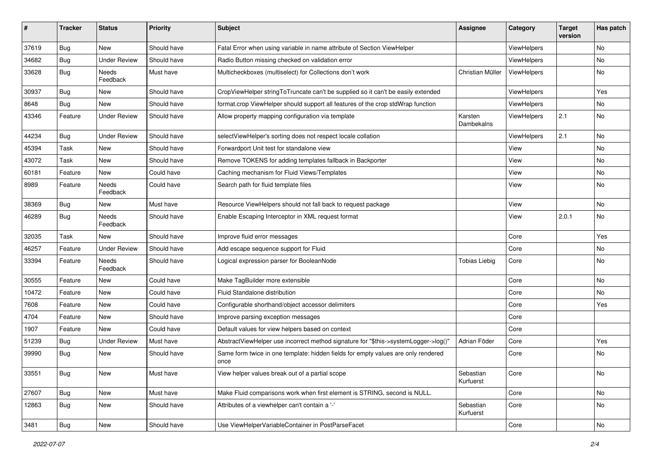| #     | <b>Tracker</b> | <b>Status</b>       | <b>Priority</b> | Subject                                                                                   | <b>Assignee</b>        | Category    | <b>Target</b><br>version | Has patch |
|-------|----------------|---------------------|-----------------|-------------------------------------------------------------------------------------------|------------------------|-------------|--------------------------|-----------|
| 37619 | Bug            | New                 | Should have     | Fatal Error when using variable in name attribute of Section ViewHelper                   |                        | ViewHelpers |                          | <b>No</b> |
| 34682 | Bug            | <b>Under Review</b> | Should have     | Radio Button missing checked on validation error                                          |                        | ViewHelpers |                          | No        |
| 33628 | Bug            | Needs<br>Feedback   | Must have       | Multicheckboxes (multiselect) for Collections don't work                                  | Christian Müller       | ViewHelpers |                          | No        |
| 30937 | Bug            | New                 | Should have     | CropViewHelper stringToTruncate can't be supplied so it can't be easily extended          |                        | ViewHelpers |                          | Yes       |
| 8648  | Bug            | New                 | Should have     | format.crop ViewHelper should support all features of the crop stdWrap function           |                        | ViewHelpers |                          | No        |
| 43346 | Feature        | <b>Under Review</b> | Should have     | Allow property mapping configuration via template                                         | Karsten<br>Dambekalns  | ViewHelpers | 2.1                      | No        |
| 44234 | Bug            | <b>Under Review</b> | Should have     | selectViewHelper's sorting does not respect locale collation                              |                        | ViewHelpers | 2.1                      | <b>No</b> |
| 45394 | Task           | New                 | Should have     | Forwardport Unit test for standalone view                                                 |                        | View        |                          | No        |
| 43072 | Task           | New                 | Should have     | Remove TOKENS for adding templates fallback in Backporter                                 |                        | View        |                          | No        |
| 60181 | Feature        | New                 | Could have      | Caching mechanism for Fluid Views/Templates                                               |                        | View        |                          | No        |
| 8989  | Feature        | Needs<br>Feedback   | Could have      | Search path for fluid template files                                                      |                        | View        |                          | No        |
| 38369 | Bug            | New                 | Must have       | Resource ViewHelpers should not fall back to request package                              |                        | View        |                          | No        |
| 46289 | Bug            | Needs<br>Feedback   | Should have     | Enable Escaping Interceptor in XML request format                                         |                        | View        | 2.0.1                    | No        |
| 32035 | Task           | New                 | Should have     | Improve fluid error messages                                                              |                        | Core        |                          | Yes       |
| 46257 | Feature        | <b>Under Review</b> | Should have     | Add escape sequence support for Fluid                                                     |                        | Core        |                          | No        |
| 33394 | Feature        | Needs<br>Feedback   | Should have     | Logical expression parser for BooleanNode                                                 | <b>Tobias Liebig</b>   | Core        |                          | No        |
| 30555 | Feature        | New                 | Could have      | Make TagBuilder more extensible                                                           |                        | Core        |                          | No        |
| 10472 | Feature        | New                 | Could have      | Fluid Standalone distribution                                                             |                        | Core        |                          | No        |
| 7608  | Feature        | New                 | Could have      | Configurable shorthand/object accessor delimiters                                         |                        | Core        |                          | Yes       |
| 4704  | Feature        | New                 | Should have     | Improve parsing exception messages                                                        |                        | Core        |                          |           |
| 1907  | Feature        | New                 | Could have      | Default values for view helpers based on context                                          |                        | Core        |                          |           |
| 51239 | Bug            | <b>Under Review</b> | Must have       | AbstractViewHelper use incorrect method signature for "\$this->systemLogger->log()"       | Adrian Föder           | Core        |                          | Yes       |
| 39990 | Bug            | New                 | Should have     | Same form twice in one template: hidden fields for empty values are only rendered<br>once |                        | Core        |                          | No        |
| 33551 | Bug            | New                 | Must have       | View helper values break out of a partial scope                                           | Sebastian<br>Kurfuerst | Core        |                          | No        |
| 27607 | <b>Bug</b>     | New                 | Must have       | Make Fluid comparisons work when first element is STRING, second is NULL.                 |                        | Core        |                          | No        |
| 12863 | <b>Bug</b>     | New                 | Should have     | Attributes of a viewhelper can't contain a '-'                                            | Sebastian<br>Kurfuerst | Core        |                          | No        |
| 3481  | <b>Bug</b>     | New                 | Should have     | Use ViewHelperVariableContainer in PostParseFacet                                         |                        | Core        |                          | No        |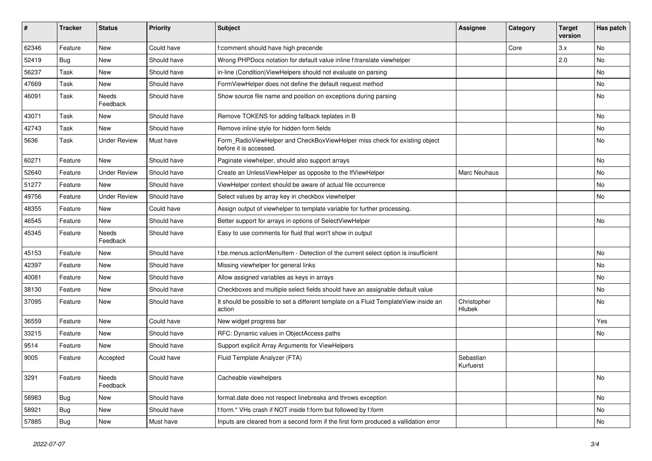| #     | <b>Tracker</b> | <b>Status</b>       | <b>Priority</b> | <b>Subject</b>                                                                                       | <b>Assignee</b>        | Category | <b>Target</b><br>version | Has patch |
|-------|----------------|---------------------|-----------------|------------------------------------------------------------------------------------------------------|------------------------|----------|--------------------------|-----------|
| 62346 | Feature        | New                 | Could have      | f:comment should have high precende                                                                  |                        | Core     | 3.x                      | <b>No</b> |
| 52419 | Bug            | New                 | Should have     | Wrong PHPDocs notation for default value inline f:translate viewhelper                               |                        |          | 2.0                      | <b>No</b> |
| 56237 | Task           | New                 | Should have     | in-line (Condition) View Helpers should not evaluate on parsing                                      |                        |          |                          | No        |
| 47669 | Task           | New                 | Should have     | FormViewHelper does not define the default request method                                            |                        |          |                          | No        |
| 46091 | Task           | Needs<br>Feedback   | Should have     | Show source file name and position on exceptions during parsing                                      |                        |          |                          | No        |
| 43071 | Task           | New                 | Should have     | Remove TOKENS for adding fallback teplates in B                                                      |                        |          |                          | No        |
| 42743 | Task           | New                 | Should have     | Remove inline style for hidden form fields                                                           |                        |          |                          | No        |
| 5636  | Task           | <b>Under Review</b> | Must have       | Form_RadioViewHelper and CheckBoxViewHelper miss check for existing object<br>before it is accessed. |                        |          |                          | No        |
| 60271 | Feature        | New                 | Should have     | Paginate viewhelper, should also support arrays                                                      |                        |          |                          | No        |
| 52640 | Feature        | <b>Under Review</b> | Should have     | Create an UnlessViewHelper as opposite to the IfViewHelper                                           | Marc Neuhaus           |          |                          | No        |
| 51277 | Feature        | New                 | Should have     | ViewHelper context should be aware of actual file occurrence                                         |                        |          |                          | No        |
| 49756 | Feature        | <b>Under Review</b> | Should have     | Select values by array key in checkbox viewhelper                                                    |                        |          |                          | No        |
| 48355 | Feature        | New                 | Could have      | Assign output of viewhelper to template variable for further processing.                             |                        |          |                          |           |
| 46545 | Feature        | New                 | Should have     | Better support for arrays in options of SelectViewHelper                                             |                        |          |                          | No        |
| 45345 | Feature        | Needs<br>Feedback   | Should have     | Easy to use comments for fluid that won't show in output                                             |                        |          |                          |           |
| 45153 | Feature        | New                 | Should have     | f:be.menus.actionMenuItem - Detection of the current select option is insufficient                   |                        |          |                          | <b>No</b> |
| 42397 | Feature        | New                 | Should have     | Missing viewhelper for general links                                                                 |                        |          |                          | No        |
| 40081 | Feature        | New                 | Should have     | Allow assigned variables as keys in arrays                                                           |                        |          |                          | No        |
| 38130 | Feature        | New                 | Should have     | Checkboxes and multiple select fields should have an assignable default value                        |                        |          |                          | No        |
| 37095 | Feature        | New                 | Should have     | It should be possible to set a different template on a Fluid TemplateView inside an<br>action        | Christopher<br>Hlubek  |          |                          | No        |
| 36559 | Feature        | New                 | Could have      | New widget progress bar                                                                              |                        |          |                          | Yes       |
| 33215 | Feature        | New                 | Should have     | RFC: Dynamic values in ObjectAccess paths                                                            |                        |          |                          | No        |
| 9514  | Feature        | New                 | Should have     | Support explicit Array Arguments for ViewHelpers                                                     |                        |          |                          |           |
| 9005  | Feature        | Accepted            | Could have      | Fluid Template Analyzer (FTA)                                                                        | Sebastian<br>Kurfuerst |          |                          |           |
| 3291  | Feature        | Needs<br>Feedback   | Should have     | Cacheable viewhelpers                                                                                |                        |          |                          | No        |
| 58983 | <b>Bug</b>     | New                 | Should have     | format.date does not respect linebreaks and throws exception                                         |                        |          |                          | No        |
| 58921 | <b>Bug</b>     | New                 | Should have     | f:form.* VHs crash if NOT inside f:form but followed by f:form                                       |                        |          |                          | No        |
| 57885 | <b>Bug</b>     | New                 | Must have       | Inputs are cleared from a second form if the first form produced a vallidation error                 |                        |          |                          | No        |